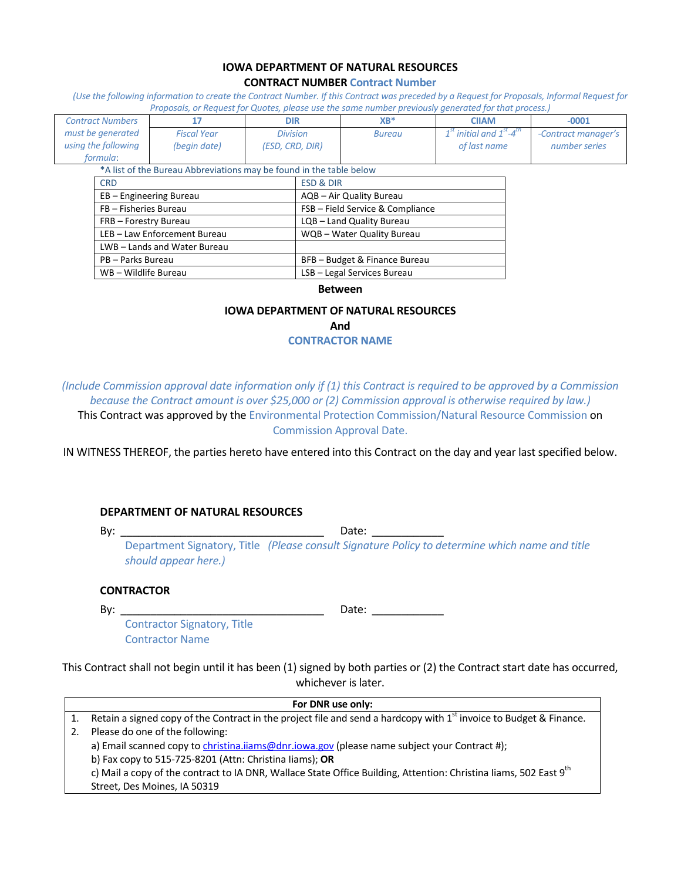#### **IOWA DEPARTMENT OF NATURAL RESOURCES CONTRACT NUMBER Contract Number**

*(Use the following information to create the Contract Number. If this Contract was preceded by a Request for Proposals, Informal Request for Proposals, or Request for Quotes, please use the same number previously generated for that process.)*

| <b>Contract Numbers</b>                                             |                            | 17                 | <b>DIR</b>                       |  | $XB^*$                     | <b>CIIAM</b>                             |  | $-0001$             |
|---------------------------------------------------------------------|----------------------------|--------------------|----------------------------------|--|----------------------------|------------------------------------------|--|---------------------|
| must be generated                                                   |                            | <b>Fiscal Year</b> | <b>Division</b>                  |  | <b>Bureau</b>              | $1st$ initial and $1st$ -4 <sup>th</sup> |  | -Contract manager's |
| using the following                                                 |                            | (begin date)       | (ESD, CRD, DIR)                  |  |                            | of last name                             |  | number series       |
| formula:                                                            |                            |                    |                                  |  |                            |                                          |  |                     |
| *A list of the Bureau Abbreviations may be found in the table below |                            |                    |                                  |  |                            |                                          |  |                     |
|                                                                     | <b>CRD</b>                 |                    | <b>ESD &amp; DIR</b>             |  |                            |                                          |  |                     |
|                                                                     | EB - Engineering Bureau    |                    | AQB - Air Quality Bureau         |  |                            |                                          |  |                     |
|                                                                     | FB - Fisheries Bureau      |                    | FSB - Field Service & Compliance |  |                            |                                          |  |                     |
|                                                                     | FRB - Forestry Bureau      |                    | LQB - Land Quality Bureau        |  |                            |                                          |  |                     |
|                                                                     | LEB-Law Enforcement Bureau |                    |                                  |  | WQB - Water Quality Bureau |                                          |  |                     |
|                                                                     | LWB-Lands and Water Bureau |                    |                                  |  |                            |                                          |  |                     |
|                                                                     | PB - Parks Bureau          |                    | BFB - Budget & Finance Bureau    |  |                            |                                          |  |                     |
| WB - Wildlife Bureau                                                |                            |                    | LSB - Legal Services Bureau      |  |                            |                                          |  |                     |

#### **Between**

#### **IOWA DEPARTMENT OF NATURAL RESOURCES**

**And**

**CONTRACTOR NAME**

*(Include Commission approval date information only if (1) this Contract is required to be approved by a Commission because the Contract amount is over \$25,000 or (2) Commission approval is otherwise required by law.)* This Contract was approved by the Environmental Protection Commission/Natural Resource Commission on Commission Approval Date.

IN WITNESS THEREOF, the parties hereto have entered into this Contract on the day and year last specified below.

#### **DEPARTMENT OF NATURAL RESOURCES**

By: \_\_\_\_\_\_\_\_\_\_\_\_\_\_\_\_\_\_\_\_\_\_\_\_\_\_\_\_\_\_\_\_\_\_ Date: \_\_\_\_\_\_\_\_\_\_\_\_

Department Signatory, Title *(Please consult Signature Policy to determine which name and title should appear here.)*

#### **CONTRACTOR**

By: \_\_\_\_\_\_\_\_\_\_\_\_\_\_\_\_\_\_\_\_\_\_\_\_\_\_\_\_\_\_\_\_\_\_ Date: \_\_\_\_\_\_\_\_\_\_\_\_

Contractor Signatory, Title Contractor Name

This Contract shall not begin until it has been (1) signed by both parties or (2) the Contract start date has occurred, whichever is later.

| For DNR use only: |                                                                                                                                |  |  |
|-------------------|--------------------------------------------------------------------------------------------------------------------------------|--|--|
|                   | Retain a signed copy of the Contract in the project file and send a hardcopy with 1 <sup>st</sup> invoice to Budget & Finance. |  |  |
| 2.                | Please do one of the following:                                                                                                |  |  |
|                   | a) Email scanned copy to christina.iiams@dnr.iowa.gov (please name subject your Contract #);                                   |  |  |
|                   | b) Fax copy to 515-725-8201 (Attn: Christina liams); OR                                                                        |  |  |
|                   | c) Mail a copy of the contract to IA DNR, Wallace State Office Building, Attention: Christina liams, 502 East 9 <sup>th</sup>  |  |  |
|                   | Street, Des Moines, IA 50319                                                                                                   |  |  |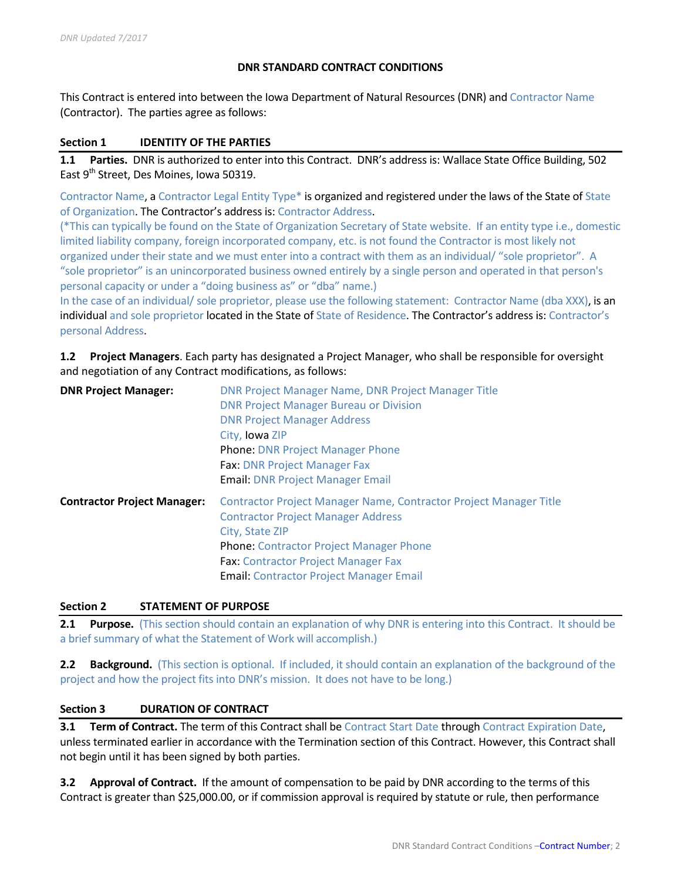### **DNR STANDARD CONTRACT CONDITIONS**

This Contract is entered into between the Iowa Department of Natural Resources (DNR) and Contractor Name (Contractor). The parties agree as follows:

#### **Section 1 IDENTITY OF THE PARTIES**

**1.1 Parties.** DNR is authorized to enter into this Contract. DNR's address is: Wallace State Office Building, 502 East 9<sup>th</sup> Street, Des Moines, Iowa 50319.

Contractor Name, a Contractor Legal Entity Type\* is organized and registered under the laws of the State of State of Organization. The Contractor's address is: Contractor Address.

(\*This can typically be found on the State of Organization Secretary of State website. If an entity type i.e., domestic limited liability company, foreign incorporated company, etc. is not found the Contractor is most likely not organized under their state and we must enter into a contract with them as an individual/ "sole proprietor". A "sole proprietor" is an unincorporated business owned entirely by a single person and operated in that person's personal capacity or under a "doing business as" or "dba" name.)

In the case of an individual/ sole proprietor, please use the following statement: Contractor Name (dba XXX), is an individual and sole proprietor located in the State of State of Residence. The Contractor's address is: Contractor's personal Address.

## **1.2 Project Managers**. Each party has designated a Project Manager, who shall be responsible for oversight and negotiation of any Contract modifications, as follows:

| <b>DNR Project Manager:</b>        | DNR Project Manager Name, DNR Project Manager Title<br><b>DNR Project Manager Bureau or Division</b><br><b>DNR Project Manager Address</b><br>City, Iowa ZIP<br><b>Phone: DNR Project Manager Phone</b><br><b>Fax: DNR Project Manager Fax</b><br><b>Email: DNR Project Manager Email</b> |  |
|------------------------------------|-------------------------------------------------------------------------------------------------------------------------------------------------------------------------------------------------------------------------------------------------------------------------------------------|--|
| <b>Contractor Project Manager:</b> | Contractor Project Manager Name, Contractor Project Manager Title<br><b>Contractor Project Manager Address</b><br>City, State ZIP<br><b>Phone: Contractor Project Manager Phone</b><br><b>Fax: Contractor Project Manager Fax</b><br><b>Email: Contractor Project Manager Email</b>       |  |

#### **Section 2 STATEMENT OF PURPOSE**

**2.1 Purpose.** (This section should contain an explanation of why DNR is entering into this Contract. It should be a brief summary of what the Statement of Work will accomplish.)

**2.2 Background.** (This section is optional. If included, it should contain an explanation of the background of the project and how the project fits into DNR's mission. It does not have to be long.)

#### **Section 3 DURATION OF CONTRACT**

**3.1 Term of Contract.** The term of this Contract shall be Contract Start Date through Contract Expiration Date, unless terminated earlier in accordance with the Termination section of this Contract. However, this Contract shall not begin until it has been signed by both parties.

**3.2 Approval of Contract.** If the amount of compensation to be paid by DNR according to the terms of this Contract is greater than \$25,000.00, or if commission approval is required by statute or rule, then performance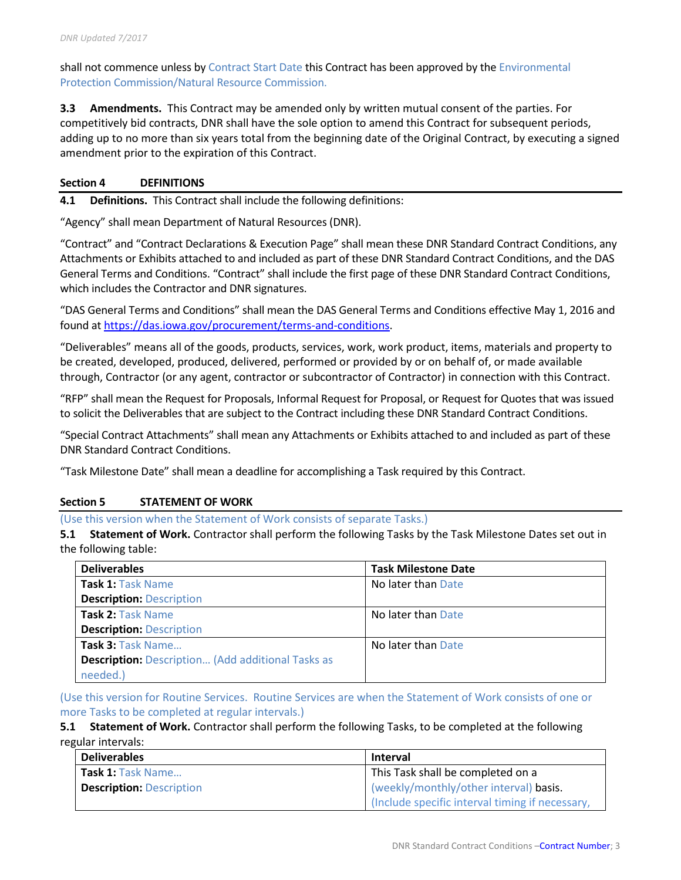shall not commence unless by Contract Start Date this Contract has been approved by the Environmental Protection Commission/Natural Resource Commission.

**3.3 Amendments.** This Contract may be amended only by written mutual consent of the parties. For competitively bid contracts, DNR shall have the sole option to amend this Contract for subsequent periods, adding up to no more than six years total from the beginning date of the Original Contract, by executing a signed amendment prior to the expiration of this Contract.

### **Section 4 DEFINITIONS**

**4.1 Definitions.** This Contract shall include the following definitions:

"Agency" shall mean Department of Natural Resources (DNR).

"Contract" and "Contract Declarations & Execution Page" shall mean these DNR Standard Contract Conditions, any Attachments or Exhibits attached to and included as part of these DNR Standard Contract Conditions, and the DAS General Terms and Conditions. "Contract" shall include the first page of these DNR Standard Contract Conditions, which includes the Contractor and DNR signatures.

"DAS General Terms and Conditions" shall mean the DAS General Terms and Conditions effective May 1, 2016 and found a[t https://das.iowa.gov/procurement/terms-and-conditions.](https://das.iowa.gov/procurement/terms-and-conditions)

"Deliverables" means all of the goods, products, services, work, work product, items, materials and property to be created, developed, produced, delivered, performed or provided by or on behalf of, or made available through, Contractor (or any agent, contractor or subcontractor of Contractor) in connection with this Contract.

"RFP" shall mean the Request for Proposals, Informal Request for Proposal, or Request for Quotes that was issued to solicit the Deliverables that are subject to the Contract including these DNR Standard Contract Conditions.

"Special Contract Attachments" shall mean any Attachments or Exhibits attached to and included as part of these DNR Standard Contract Conditions.

"Task Milestone Date" shall mean a deadline for accomplishing a Task required by this Contract.

#### **Section 5 STATEMENT OF WORK**

(Use this version when the Statement of Work consists of separate Tasks.)

**5.1 Statement of Work.** Contractor shall perform the following Tasks by the Task Milestone Dates set out in the following table:

| <b>Deliverables</b>                                      | <b>Task Milestone Date</b> |
|----------------------------------------------------------|----------------------------|
| Task 1: Task Name                                        | No later than Date         |
| <b>Description: Description</b>                          |                            |
| Task 2: Task Name                                        | No later than Date         |
| <b>Description: Description</b>                          |                            |
| Task 3: Task Name                                        | No later than Date         |
| <b>Description:</b> Description (Add additional Tasks as |                            |
| needed.)                                                 |                            |

(Use this version for Routine Services. Routine Services are when the Statement of Work consists of one or more Tasks to be completed at regular intervals.)

**5.1 Statement of Work.** Contractor shall perform the following Tasks, to be completed at the following regular intervals:

| <b>Deliverables</b>             | <b>Interval</b>                                 |
|---------------------------------|-------------------------------------------------|
| Task 1: Task Name               | This Task shall be completed on a               |
| <b>Description: Description</b> | (weekly/monthly/other interval) basis.          |
|                                 | (Include specific interval timing if necessary, |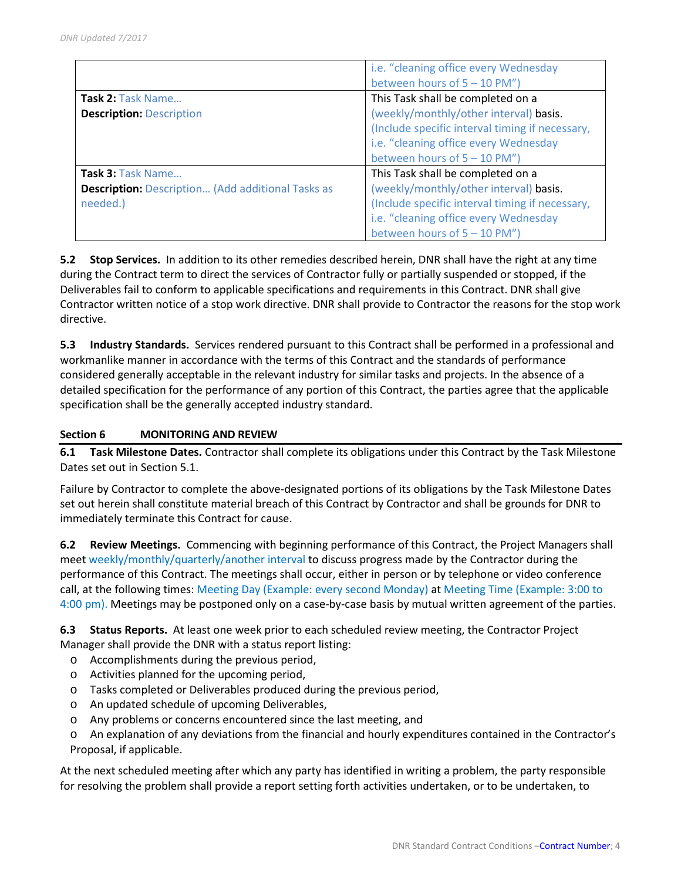|                                                          | i.e. "cleaning office every Wednesday           |
|----------------------------------------------------------|-------------------------------------------------|
|                                                          | between hours of 5 - 10 PM")                    |
| Task 2: Task Name                                        | This Task shall be completed on a               |
| <b>Description: Description</b>                          | (weekly/monthly/other interval) basis.          |
|                                                          | (Include specific interval timing if necessary, |
|                                                          | i.e. "cleaning office every Wednesday           |
|                                                          | between hours of $5 - 10$ PM")                  |
| Task 3: Task Name                                        | This Task shall be completed on a               |
| <b>Description:</b> Description (Add additional Tasks as | (weekly/monthly/other interval) basis.          |
| needed.)                                                 | (Include specific interval timing if necessary, |
|                                                          | i.e. "cleaning office every Wednesday           |
|                                                          | between hours of $5 - 10$ PM")                  |

**5.2 Stop Services.** In addition to its other remedies described herein, DNR shall have the right at any time during the Contract term to direct the services of Contractor fully or partially suspended or stopped, if the Deliverables fail to conform to applicable specifications and requirements in this Contract. DNR shall give Contractor written notice of a stop work directive. DNR shall provide to Contractor the reasons for the stop work directive.

**5.3 Industry Standards.** Services rendered pursuant to this Contract shall be performed in a professional and workmanlike manner in accordance with the terms of this Contract and the standards of performance considered generally acceptable in the relevant industry for similar tasks and projects. In the absence of a detailed specification for the performance of any portion of this Contract, the parties agree that the applicable specification shall be the generally accepted industry standard.

## **Section 6 MONITORING AND REVIEW**

**6.1 Task Milestone Dates.** Contractor shall complete its obligations under this Contract by the Task Milestone Dates set out in Section 5.1.

Failure by Contractor to complete the above-designated portions of its obligations by the Task Milestone Dates set out herein shall constitute material breach of this Contract by Contractor and shall be grounds for DNR to immediately terminate this Contract for cause.

**6.2 Review Meetings.** Commencing with beginning performance of this Contract, the Project Managers shall meet weekly/monthly/quarterly/another interval to discuss progress made by the Contractor during the performance of this Contract. The meetings shall occur, either in person or by telephone or video conference call, at the following times: Meeting Day (Example: every second Monday) at Meeting Time (Example: 3:00 to 4:00 pm). Meetings may be postponed only on a case-by-case basis by mutual written agreement of the parties.

**6.3 Status Reports.** At least one week prior to each scheduled review meeting, the Contractor Project Manager shall provide the DNR with a status report listing:

- o Accomplishments during the previous period,
- o Activities planned for the upcoming period,
- o Tasks completed or Deliverables produced during the previous period,
- o An updated schedule of upcoming Deliverables,
- o Any problems or concerns encountered since the last meeting, and
- o An explanation of any deviations from the financial and hourly expenditures contained in the Contractor's Proposal, if applicable.

At the next scheduled meeting after which any party has identified in writing a problem, the party responsible for resolving the problem shall provide a report setting forth activities undertaken, or to be undertaken, to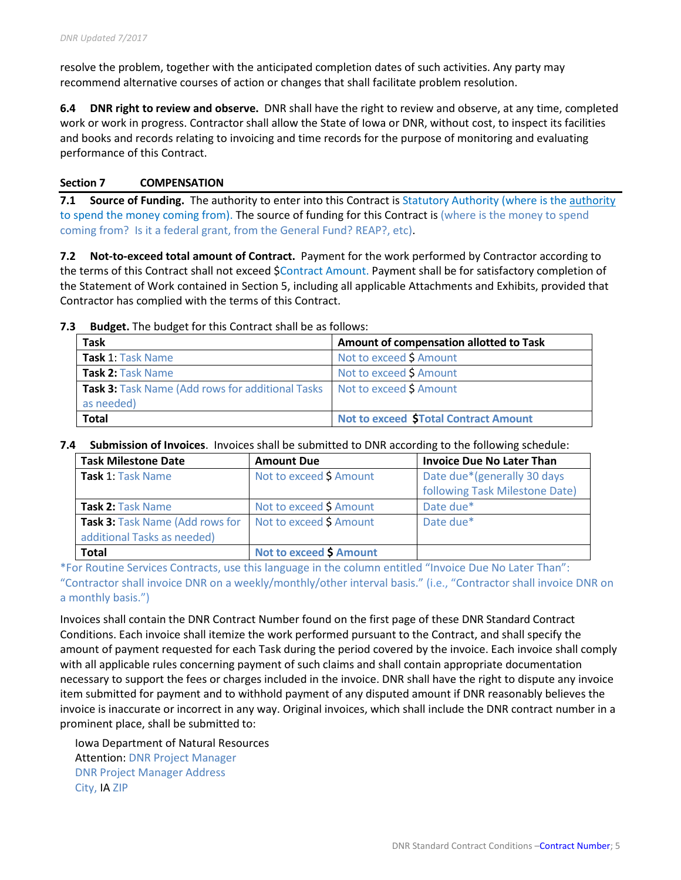resolve the problem, together with the anticipated completion dates of such activities. Any party may recommend alternative courses of action or changes that shall facilitate problem resolution.

**6.4 DNR right to review and observe.** DNR shall have the right to review and observe, at any time, completed work or work in progress. Contractor shall allow the State of Iowa or DNR, without cost, to inspect its facilities and books and records relating to invoicing and time records for the purpose of monitoring and evaluating performance of this Contract.

## **Section 7 COMPENSATION**

**7.1 Source of Funding.** The authority to enter into this Contract is Statutory Authority (where is the authority to spend the money coming from). The source of funding for this Contract is (where is the money to spend coming from? Is it a federal grant, from the General Fund? REAP?, etc).

**7.2 Not-to-exceed total amount of Contract.** Payment for the work performed by Contractor according to the terms of this Contract shall not exceed \$Contract Amount. Payment shall be for satisfactory completion of the Statement of Work contained in Section 5, including all applicable Attachments and Exhibits, provided that Contractor has complied with the terms of this Contract.

**7.3 Budget.** The budget for this Contract shall be as follows:

| <b>Task</b>                                                                                     | Amount of compensation allotted to Task     |
|-------------------------------------------------------------------------------------------------|---------------------------------------------|
| Task 1: Task Name                                                                               | Not to exceed \$ Amount                     |
| Task 2: Task Name                                                                               | Not to exceed \$ Amount                     |
| <b>Task 3:</b> Task Name (Add rows for additional Tasks   Not to exceed \$ Amount<br>as needed) |                                             |
| <b>Total</b>                                                                                    | <b>Not to exceed STotal Contract Amount</b> |

#### **7.4 Submission of Invoices**. Invoices shall be submitted to DNR according to the following schedule:

| <b>Task Milestone Date</b>                                     | <b>Amount Due</b>              | <b>Invoice Due No Later Than</b>                              |
|----------------------------------------------------------------|--------------------------------|---------------------------------------------------------------|
| Task 1: Task Name                                              | Not to exceed \$ Amount        | Date due*(generally 30 days<br>following Task Milestone Date) |
| Task 2: Task Name                                              | Not to exceed \$ Amount        | Date due*                                                     |
| Task 3: Task Name (Add rows for<br>additional Tasks as needed) | Not to exceed \$ Amount        | Date due*                                                     |
| <b>Total</b>                                                   | <b>Not to exceed \$ Amount</b> |                                                               |

\*For Routine Services Contracts, use this language in the column entitled "Invoice Due No Later Than": "Contractor shall invoice DNR on a weekly/monthly/other interval basis." (i.e., "Contractor shall invoice DNR on a monthly basis.")

Invoices shall contain the DNR Contract Number found on the first page of these DNR Standard Contract Conditions. Each invoice shall itemize the work performed pursuant to the Contract, and shall specify the amount of payment requested for each Task during the period covered by the invoice. Each invoice shall comply with all applicable rules concerning payment of such claims and shall contain appropriate documentation necessary to support the fees or charges included in the invoice. DNR shall have the right to dispute any invoice item submitted for payment and to withhold payment of any disputed amount if DNR reasonably believes the invoice is inaccurate or incorrect in any way. Original invoices, which shall include the DNR contract number in a prominent place, shall be submitted to:

Iowa Department of Natural Resources Attention: DNR Project Manager DNR Project Manager Address City, IA ZIP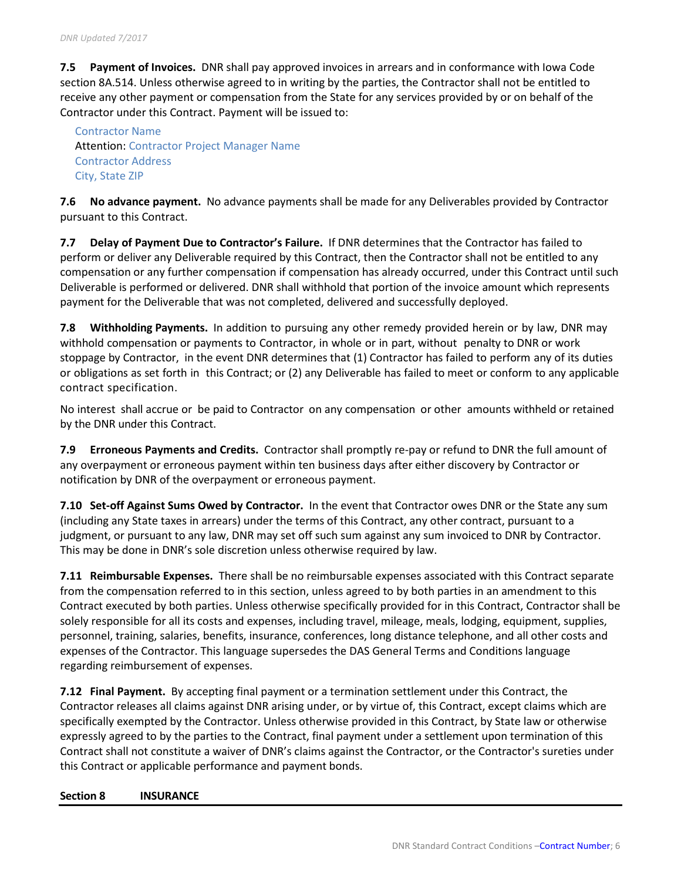**7.5 Payment of Invoices.** DNR shall pay approved invoices in arrears and in conformance with Iowa Code section 8A.514. Unless otherwise agreed to in writing by the parties, the Contractor shall not be entitled to receive any other payment or compensation from the State for any services provided by or on behalf of the Contractor under this Contract. Payment will be issued to:

Contractor Name Attention: Contractor Project Manager Name Contractor Address City, State ZIP

**7.6 No advance payment.** No advance payments shall be made for any Deliverables provided by Contractor pursuant to this Contract.

**7.7 Delay of Payment Due to Contractor's Failure.** If DNR determines that the Contractor has failed to perform or deliver any Deliverable required by this Contract, then the Contractor shall not be entitled to any compensation or any further compensation if compensation has already occurred, under this Contract until such Deliverable is performed or delivered. DNR shall withhold that portion of the invoice amount which represents payment for the Deliverable that was not completed, delivered and successfully deployed.

**7.8 Withholding Payments.** In addition to pursuing any other remedy provided herein or by law, DNR may withhold compensation or payments to Contractor, in whole or in part, without penalty to DNR or work stoppage by Contractor, in the event DNR determines that (1) Contractor has failed to perform any of its duties or obligations as set forth in this Contract; or (2) any Deliverable has failed to meet or conform to any applicable contract specification.

No interest shall accrue or be paid to Contractor on any compensation or other amounts withheld or retained by the DNR under this Contract.

**7.9 Erroneous Payments and Credits.** Contractor shall promptly re-pay or refund to DNR the full amount of any overpayment or erroneous payment within ten business days after either discovery by Contractor or notification by DNR of the overpayment or erroneous payment.

**7.10 Set-off Against Sums Owed by Contractor.** In the event that Contractor owes DNR or the State any sum (including any State taxes in arrears) under the terms of this Contract, any other contract, pursuant to a judgment, or pursuant to any law, DNR may set off such sum against any sum invoiced to DNR by Contractor. This may be done in DNR's sole discretion unless otherwise required by law.

**7.11 Reimbursable Expenses.** There shall be no reimbursable expenses associated with this Contract separate from the compensation referred to in this section, unless agreed to by both parties in an amendment to this Contract executed by both parties. Unless otherwise specifically provided for in this Contract, Contractor shall be solely responsible for all its costs and expenses, including travel, mileage, meals, lodging, equipment, supplies, personnel, training, salaries, benefits, insurance, conferences, long distance telephone, and all other costs and expenses of the Contractor. This language supersedes the DAS General Terms and Conditions language regarding reimbursement of expenses.

**7.12 Final Payment.** By accepting final payment or a termination settlement under this Contract, the Contractor releases all claims against DNR arising under, or by virtue of, this Contract, except claims which are specifically exempted by the Contractor. Unless otherwise provided in this Contract, by State law or otherwise expressly agreed to by the parties to the Contract, final payment under a settlement upon termination of this Contract shall not constitute a waiver of DNR's claims against the Contractor, or the Contractor's sureties under this Contract or applicable performance and payment bonds.

#### **Section 8 INSURANCE**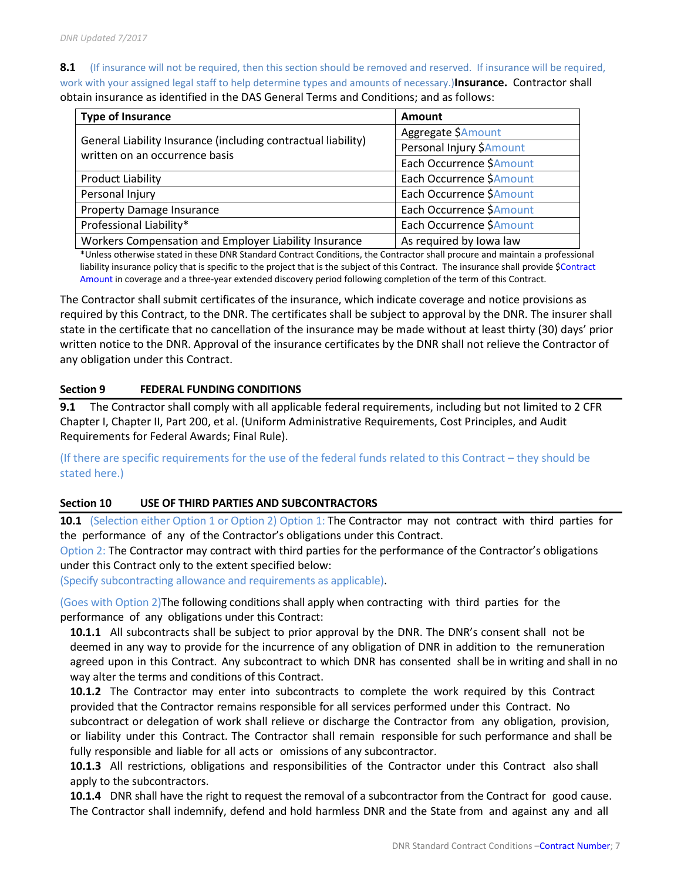8.1 (If insurance will not be required, then this section should be removed and reserved. If insurance will be required, work with your assigned legal staff to help determine types and amounts of necessary.)**Insurance.** Contractor shall obtain insurance as identified in the DAS General Terms and Conditions; and as follows:

| <b>Type of Insurance</b>                                                                        | <b>Amount</b>            |  |  |
|-------------------------------------------------------------------------------------------------|--------------------------|--|--|
|                                                                                                 | Aggregate \$Amount       |  |  |
| General Liability Insurance (including contractual liability)<br>written on an occurrence basis | Personal Injury \$Amount |  |  |
|                                                                                                 | Each Occurrence \$Amount |  |  |
| <b>Product Liability</b>                                                                        | Each Occurrence \$Amount |  |  |
| Personal Injury                                                                                 | Each Occurrence \$Amount |  |  |
| <b>Property Damage Insurance</b>                                                                | Each Occurrence \$Amount |  |  |
| Professional Liability*                                                                         | Each Occurrence \$Amount |  |  |
| Workers Compensation and Employer Liability Insurance                                           | As required by Iowa law  |  |  |

\*Unless otherwise stated in these DNR Standard Contract Conditions, the Contractor shall procure and maintain a professional liability insurance policy that is specific to the project that is the subject of this Contract. The insurance shall provide \$Contract Amount in coverage and a three-year extended discovery period following completion of the term of this Contract.

The Contractor shall submit certificates of the insurance, which indicate coverage and notice provisions as required by this Contract, to the DNR. The certificates shall be subject to approval by the DNR. The insurer shall state in the certificate that no cancellation of the insurance may be made without at least thirty (30) days' prior written notice to the DNR. Approval of the insurance certificates by the DNR shall not relieve the Contractor of any obligation under this Contract.

## **Section 9 FEDERAL FUNDING CONDITIONS**

**9.1** The Contractor shall comply with all applicable federal requirements, including but not limited to 2 CFR Chapter I, Chapter II, Part 200, et al. (Uniform Administrative Requirements, Cost Principles, and Audit Requirements for Federal Awards; Final Rule).

(If there are specific requirements for the use of the federal funds related to this Contract – they should be stated here.)

# **Section 10 USE OF THIRD PARTIES AND SUBCONTRACTORS**

**10.1** (Selection either Option 1 or Option 2) Option 1: The Contractor may not contract with third parties for the performance of any of the Contractor's obligations under this Contract.

Option 2: The Contractor may contract with third parties for the performance of the Contractor's obligations under this Contract only to the extent specified below:

(Specify subcontracting allowance and requirements as applicable).

(Goes with Option 2)The following conditions shall apply when contracting with third parties for the performance of any obligations under this Contract:

**10.1.1** All subcontracts shall be subject to prior approval by the DNR. The DNR's consent shall not be deemed in any way to provide for the incurrence of any obligation of DNR in addition to the remuneration agreed upon in this Contract. Any subcontract to which DNR has consented shall be in writing and shall in no way alter the terms and conditions of this Contract.

**10.1.2** The Contractor may enter into subcontracts to complete the work required by this Contract provided that the Contractor remains responsible for all services performed under this Contract. No subcontract or delegation of work shall relieve or discharge the Contractor from any obligation, provision, or liability under this Contract. The Contractor shall remain responsible for such performance and shall be fully responsible and liable for all acts or omissions of any subcontractor.

**10.1.3** All restrictions, obligations and responsibilities of the Contractor under this Contract also shall apply to the subcontractors.

**10.1.4** DNR shall have the right to request the removal of a subcontractor from the Contract for good cause. The Contractor shall indemnify, defend and hold harmless DNR and the State from and against any and all